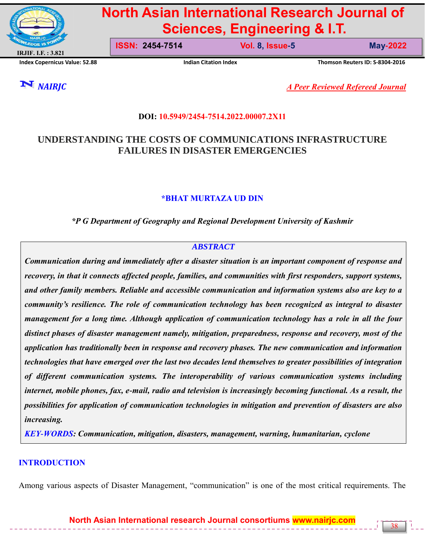

# **North Asian International Research Journal of Sciences, Engineering & I.T.**

**ISSN: 2454-7514 Vol. 8, Issue-5 May-2022**

**Index Copernicus Value: 52.88 Indian Citation Index Thomson Reuters ID: S-8304-2016**

*NAIRJC A Peer Reviewed Refereed Journal*

# **DOI: 10.5949/2454-7514.2022.00007.2X11**

# **UNDERSTANDING THE COSTS OF COMMUNICATIONS INFRASTRUCTURE FAILURES IN DISASTER EMERGENCIES**

# **\*BHAT MURTAZA UD DIN**

*\*P G Department of Geography and Regional Development University of Kashmir*

# *ABSTRACT*

*Communication during and immediately after a disaster situation is an important component of response and recovery, in that it connects affected people, families, and communities with first responders, support systems, and other family members. Reliable and accessible communication and information systems also are key to a community's resilience. The role of communication technology has been recognized as integral to disaster management for a long time. Although application of communication technology has a role in all the four distinct phases of disaster management namely, mitigation, preparedness, response and recovery, most of the application has traditionally been in response and recovery phases. The new communication and information technologies that have emerged over the last two decades lend themselves to greater possibilities of integration of different communication systems. The interoperability of various communication systems including internet, mobile phones, fax, e-mail, radio and television is increasingly becoming functional. As a result, the possibilities for application of communication technologies in mitigation and prevention of disasters are also increasing.*

*KEY-WORDS: Communication, mitigation, disasters, management, warning, humanitarian, cyclone*

# **INTRODUCTION**

Among various aspects of Disaster Management, "communication" is one of the most critical requirements. The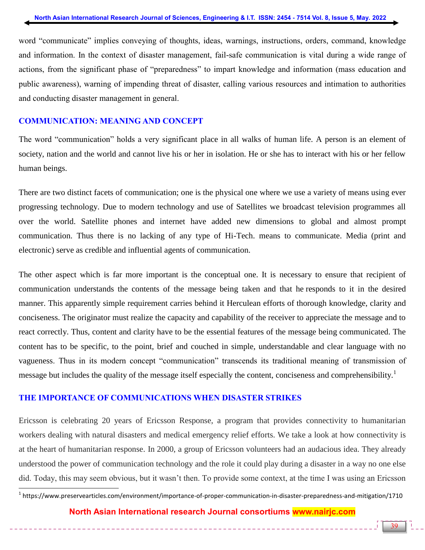word "communicate" implies conveying of thoughts, ideas, warnings, instructions, orders, command, knowledge and information. In the context of disaster management, fail-safe communication is vital during a wide range of actions, from the significant phase of "preparedness" to impart knowledge and information (mass education and public awareness), warning of impending threat of disaster, calling various resources and intimation to authorities and conducting disaster management in general.

## **COMMUNICATION: MEANING AND CONCEPT**

The word "communication" holds a very significant place in all walks of human life. A person is an element of society, nation and the world and cannot live his or her in isolation. He or she has to interact with his or her fellow human beings.

There are two distinct facets of communication; one is the physical one where we use a variety of means using ever progressing technology. Due to modern technology and use of Satellites we broadcast television programmes all over the world. Satellite phones and internet have added new dimensions to global and almost prompt communication. Thus there is no lacking of any type of Hi-Tech. means to communicate. Media (print and electronic) serve as credible and influential agents of communication.

The other aspect which is far more important is the conceptual one. It is necessary to ensure that recipient of communication understands the contents of the message being taken and that he responds to it in the desired manner. This apparently simple requirement carries behind it Herculean efforts of thorough knowledge, clarity and conciseness. The originator must realize the capacity and capability of the receiver to appreciate the message and to react correctly. Thus, content and clarity have to be the essential features of the message being communicated. The content has to be specific, to the point, brief and couched in simple, understandable and clear language with no vagueness. Thus in its modern concept "communication" transcends its traditional meaning of transmission of message but includes the quality of the message itself especially the content, conciseness and comprehensibility.<sup>1</sup>

## **THE IMPORTANCE OF COMMUNICATIONS WHEN DISASTER STRIKES**

Ericsson is celebrating 20 years of Ericsson Response, a program that provides connectivity to humanitarian workers dealing with natural disasters and medical emergency relief efforts. We take a look at how connectivity is at the heart of humanitarian response. In 2000, a group of Ericsson volunteers had an audacious idea. They already understood the power of communication technology and the role it could play during a disaster in a way no one else did. Today, this may seem obvious, but it wasn't then. To provide some context, at the time I was using an Ericsson

**North Asian International research Journal consortiums www.nairjc.com**

 1 https://www.preservearticles.com/environment/importance-of-proper-communication-in-disaster-preparedness-and-mitigation/1710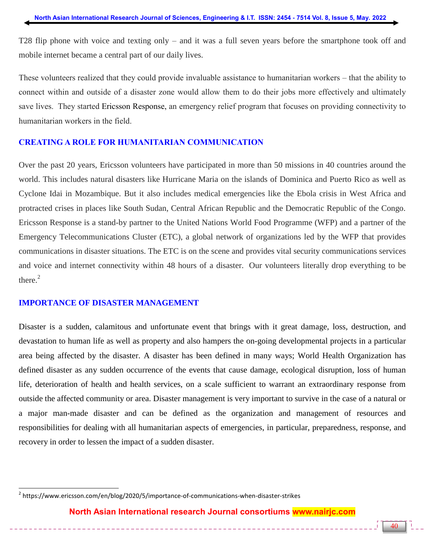T28 flip phone with voice and texting only – and it was a full seven years before the smartphone took off and mobile internet became a central part of our daily lives.

These volunteers realized that they could provide invaluable assistance to humanitarian workers – that the ability to connect within and outside of a disaster zone would allow them to do their jobs more effectively and ultimately save lives. They started [Ericsson Response,](https://www.ericsson.com/en/about-us/sustainability-and-corporate-responsibility/digital-inclusion/humanitarian-response) an emergency relief program that focuses on providing connectivity to humanitarian workers in the field.

### **CREATING A ROLE FOR HUMANITARIAN COMMUNICATION**

Over the past 20 years, Ericsson volunteers have participated in more than 50 missions in 40 countries around the world. This includes natural disasters like Hurricane Maria on the islands of Dominica and Puerto Rico as well as Cyclone Idai in Mozambique. But it also includes medical emergencies like the Ebola crisis in West Africa and protracted crises in places like South Sudan, Central African Republic and the Democratic Republic of the Congo. Ericsson Response is a stand-by partner to the United Nations World Food Programme (WFP) and a partner of the Emergency Telecommunications Cluster (ETC), a global network of organizations led by the WFP that provides communications in disaster situations. The ETC is on the scene and provides vital security communications services and voice and internet connectivity within 48 hours of a disaster. Our volunteers literally drop everything to be there.<sup>2</sup>

#### **IMPORTANCE OF DISASTER MANAGEMENT**

 $\overline{a}$ 

Disaster is a sudden, calamitous and unfortunate event that brings with it great damage, loss, destruction, and devastation to human life as well as property and also hampers the on-going developmental projects in a particular area being affected by the disaster. A disaster has been defined in many ways; World Health Organization has defined disaster as any sudden occurrence of the events that cause damage, ecological disruption, loss of human life, deterioration of health and health services, on a scale sufficient to warrant an extraordinary response from outside the affected community or area. Disaster management is very important to survive in the case of a natural or a major man-made disaster and can be defined as the organization and management of resources and responsibilities for dealing with all humanitarian aspects of emergencies, in particular, preparedness, response, and recovery in order to lessen the impact of a sudden disaster.

<sup>&</sup>lt;sup>2</sup> https://www.ericsson.com/en/blog/2020/5/importance-of-communications-when-disaster-strikes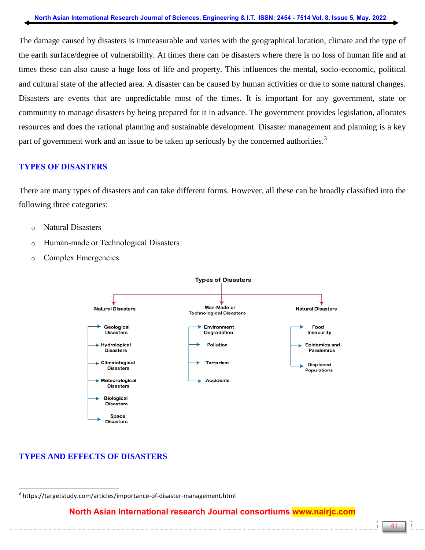The damage caused by disasters is immeasurable and varies with the geographical location, climate and the type of the earth surface/degree of vulnerability. At times there can be disasters where there is no loss of human life and at times these can also cause a huge loss of life and property. This influences the mental, socio-economic, political and cultural state of the affected area. A disaster can be caused by human activities or due to some natural changes. Disasters are events that are unpredictable most of the times. It is important for any government, state or community to manage disasters by being prepared for it in advance. The government provides legislation, allocates resources and does the rational planning and sustainable development. Disaster management and planning is a key part of government work and an issue to be taken up seriously by the concerned authorities.<sup>3</sup>

# **TYPES OF DISASTERS**

There are many types of disasters and can take different forms. However, all these can be broadly classified into the following three categories:

- o Natural Disasters
- o Human-made or Technological Disasters
- o Complex Emergencies



# **TYPES AND EFFECTS OF DISASTERS**

 $\overline{a}$ <sup>3</sup> https://targetstudy.com/articles/importance-of-disaster-management.html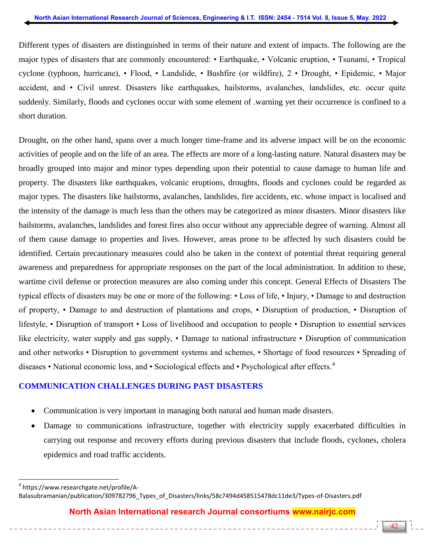Different types of disasters are distinguished in terms of their nature and extent of impacts. The following are the major types of disasters that are commonly encountered: • Earthquake, • Volcanic eruption, • Tsunami, • Tropical cyclone (typhoon, hurricane), • Flood, • Landslide, • Bushfire (or wildfire), 2 • Drought, • Epidemic, • Major accident, and • Civil unrest. Disasters like earthquakes, hailstorms, avalanches, landslides, etc. occur quite suddenly. Similarly, floods and cyclones occur with some element of .warning yet their occurrence is confined to a short duration.

Drought, on the other hand, spans over a much longer time-frame and its adverse impact will be on the economic activities of people and on the life of an area. The effects are more of a long-lasting nature. Natural disasters may be broadly grouped into major and minor types depending upon their potential to cause damage to human life and property. The disasters like earthquakes, volcanic eruptions, droughts, floods and cyclones could be regarded as major types. The disasters like hailstorms, avalanches, landslides, fire accidents, etc. whose impact is localised and the intensity of the damage is much less than the others may be categorized as minor disasters. Minor disasters like hailstorms, avalanches, landslides and forest fires also occur without any appreciable degree of warning. Almost all of them cause damage to properties and lives. However, areas prone to be affected by such disasters could be identified. Certain precautionary measures could also be taken in the context of potential threat requiring general awareness and preparedness for appropriate responses on the part of the local administration. In addition to these, wartime civil defense or protection measures are also coming under this concept. General Effects of Disasters The typical effects of disasters may be one or more of the following: • Loss of life, • Injury, • Damage to and destruction of property, • Damage to and destruction of plantations and crops, • Disruption of production, • Disruption of lifestyle, • Disruption of transport • Loss of livelihood and occupation to people • Disruption to essential services like electricity, water supply and gas supply, • Damage to national infrastructure • Disruption of communication and other networks • Disruption to government systems and schemes, • Shortage of food resources • Spreading of diseases • National economic loss, and • Sociological effects and • Psychological after effects.<sup>4</sup>

## **COMMUNICATION CHALLENGES DURING PAST DISASTERS**

- Communication is very important in managing both natural and human made disasters.
- Damage to communications infrastructure, together with electricity supply exacerbated difficulties in carrying out response and recovery efforts during previous disasters that include floods, cyclones, cholera epidemics and road traffic accidents.

4 https://www.researchgate.net/profile/A-

 $\overline{a}$ 

Balasubramanian/publication/309782796\_Types\_of\_Disasters/links/58c7494d458515478dc11de3/Types-of-Disasters.pdf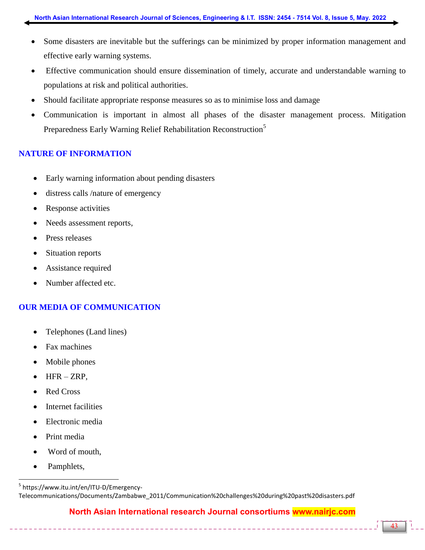- Some disasters are inevitable but the sufferings can be minimized by proper information management and effective early warning systems.
- Effective communication should ensure dissemination of timely, accurate and understandable warning to populations at risk and political authorities.
- Should facilitate appropriate response measures so as to minimise loss and damage
- Communication is important in almost all phases of the disaster management process. Mitigation Preparedness Early Warning Relief Rehabilitation Reconstruction<sup>5</sup>

# **NATURE OF INFORMATION**

- Early warning information about pending disasters
- distress calls /nature of emergency
- Response activities
- Needs assessment reports,
- Press releases
- Situation reports
- Assistance required
- Number affected etc.

# **OUR MEDIA OF COMMUNICATION**

- Telephones (Land lines)
- Fax machines
- Mobile phones
- HFR ZRP,
- Red Cross
- Internet facilities
- Electronic media
- Print media
- Word of mouth,
- Pamphlets,

 $\overline{a}$ 

<sup>5</sup> https://www.itu.int/en/ITU-D/Emergency-Telecommunications/Documents/Zambabwe\_2011/Communication%20challenges%20during%20past%20disasters.pdf

# **North Asian International research Journal consortiums www.nairjc.com**

\_\_\_\_\_\_\_\_\_\_\_\_\_\_\_\_\_\_\_\_\_\_\_\_\_\_\_\_\_\_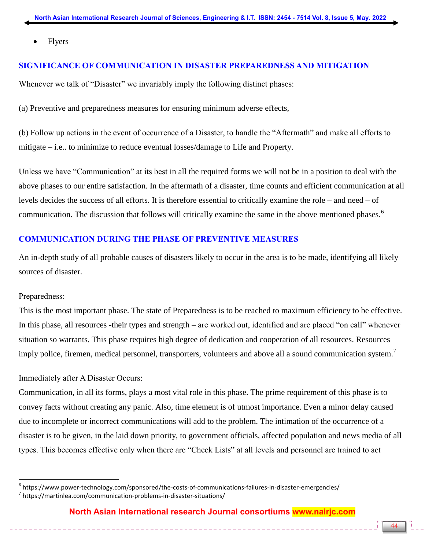Flyers

## **SIGNIFICANCE OF COMMUNICATION IN DISASTER PREPAREDNESS AND MITIGATION**

Whenever we talk of "Disaster" we invariably imply the following distinct phases:

(a) Preventive and preparedness measures for ensuring minimum adverse effects,

(b) Follow up actions in the event of occurrence of a Disaster, to handle the "Aftermath" and make all efforts to mitigate – i.e.. to minimize to reduce eventual losses/damage to Life and Property.

Unless we have "Communication" at its best in all the required forms we will not be in a position to deal with the above phases to our entire satisfaction. In the aftermath of a disaster, time counts and efficient communication at all levels decides the success of all efforts. It is therefore essential to critically examine the role – and need – of communication. The discussion that follows will critically examine the same in the above mentioned phases.<sup>6</sup>

## **COMMUNICATION DURING THE PHASE OF PREVENTIVE MEASURES**

An in-depth study of all probable causes of disasters likely to occur in the area is to be made, identifying all likely sources of disaster.

## Preparedness:

 $\overline{a}$ 

This is the most important phase. The state of Preparedness is to be reached to maximum efficiency to be effective. In this phase, all resources -their types and strength – are worked out, identified and are placed "on call" whenever situation so warrants. This phase requires high degree of dedication and cooperation of all resources. Resources imply police, firemen, medical personnel, transporters, volunteers and above all a sound communication system.<sup>7</sup>

## Immediately after A Disaster Occurs:

Communication, in all its forms, plays a most vital role in this phase. The prime requirement of this phase is to convey facts without creating any panic. Also, time element is of utmost importance. Even a minor delay caused due to incomplete or incorrect communications will add to the problem. The intimation of the occurrence of a disaster is to be given, in the laid down priority, to government officials, affected population and news media of all types. This becomes effective only when there are "Check Lists" at all levels and personnel are trained to act

 $^6$  https://www.power-technology.com/sponsored/the-costs-of-communications-failures-in-disaster-emergencies/ <sup>7</sup> https://martinlea.com/communication-problems-in-disaster-situations/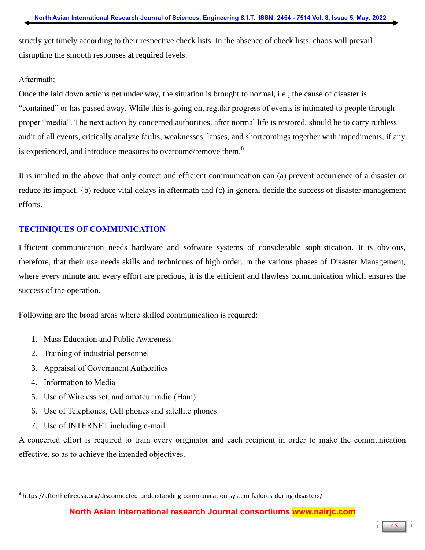strictly yet timely according to their respective check lists. In the absence of check lists, chaos will prevail disrupting the smooth responses at required levels.

## Aftermath:

Once the laid down actions get under way, the situation is brought to normal, i.e., the cause of disaster is "contained" or has passed away. While this is going on, regular progress of events is intimated to people through proper "media". The next action by concerned authorities, after normal life is restored, should be to carry ruthless audit of all events, critically analyze faults, weaknesses, lapses, and shortcomings together with impediments, if any is experienced, and introduce measures to overcome/remove them.<sup>8</sup>

It is implied in the above that only correct and efficient communication can (a) prevent occurrence of a disaster or reduce its impact, {b) reduce vital delays in aftermath and (c) in general decide the success of disaster management efforts.

## **TECHNIQUES OF COMMUNICATION**

Efficient communication needs hardware and software systems of considerable sophistication. It is obvious, therefore, that their use needs skills and techniques of high order. In the various phases of Disaster Management, where every minute and every effort are precious, it is the efficient and flawless communication which ensures the success of the operation.

Following are the broad areas where skilled communication is required:

- 1. Mass Education and Public Awareness.
- 2. Training of industrial personnel
- 3. Appraisal of Government Authorities
- 4. Information to Media

 $\overline{a}$ 

- 5. Use of Wireless set, and amateur radio (Ham)
- 6. Use of Telephones, Cell phones and satellite phones
- 7. Use of INTERNET including e-mail

A concerted effort is required to train every originator and each recipient in order to make the communication effective, so as to achieve the intended objectives.

 $^8$  https://afterthefireusa.org/disconnected-understanding-communication-system-failures-during-disasters/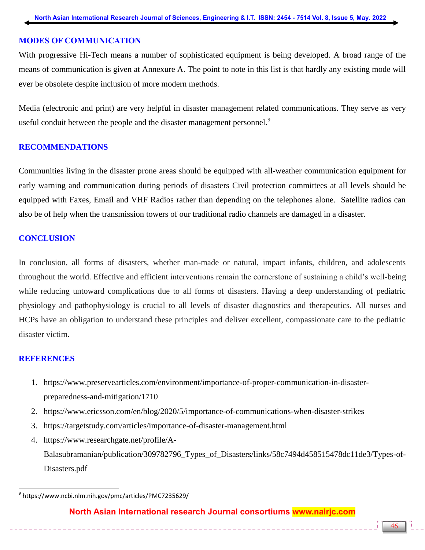#### **MODES OF COMMUNICATION**

With progressive Hi-Tech means a number of sophisticated equipment is being developed. A broad range of the means of communication is given at Annexure A. The point to note in this list is that hardly any existing mode will ever be obsolete despite inclusion of more modern methods.

Media (electronic and print) are very helpful in disaster management related communications. They serve as very useful conduit between the people and the disaster management personnel.<sup>9</sup>

#### **RECOMMENDATIONS**

Communities living in the disaster prone areas should be equipped with all-weather communication equipment for early warning and communication during periods of disasters Civil protection committees at all levels should be equipped with Faxes, Email and VHF Radios rather than depending on the telephones alone. Satellite radios can also be of help when the transmission towers of our traditional radio channels are damaged in a disaster.

#### **CONCLUSION**

In conclusion, all forms of disasters, whether man-made or natural, impact infants, children, and adolescents throughout the world. Effective and efficient interventions remain the cornerstone of sustaining a child's well-being while reducing untoward complications due to all forms of disasters. Having a deep understanding of pediatric physiology and pathophysiology is crucial to all levels of disaster diagnostics and therapeutics. All nurses and HCPs have an obligation to understand these principles and deliver excellent, compassionate care to the pediatric disaster victim.

#### **REFERENCES**

 $\overline{a}$ 

- 1. https://www.preservearticles.com/environment/importance-of-proper-communication-in-disasterpreparedness-and-mitigation/1710
- 2. https://www.ericsson.com/en/blog/2020/5/importance-of-communications-when-disaster-strikes
- 3. https://targetstudy.com/articles/importance-of-disaster-management.html
- 4. https://www.researchgate.net/profile/A-Balasubramanian/publication/309782796\_Types\_of\_Disasters/links/58c7494d458515478dc11de3/Types-of-Disasters.pdf

## **North Asian International research Journal consortiums www.nairjc.com**

<sup>9</sup> https://www.ncbi.nlm.nih.gov/pmc/articles/PMC7235629/